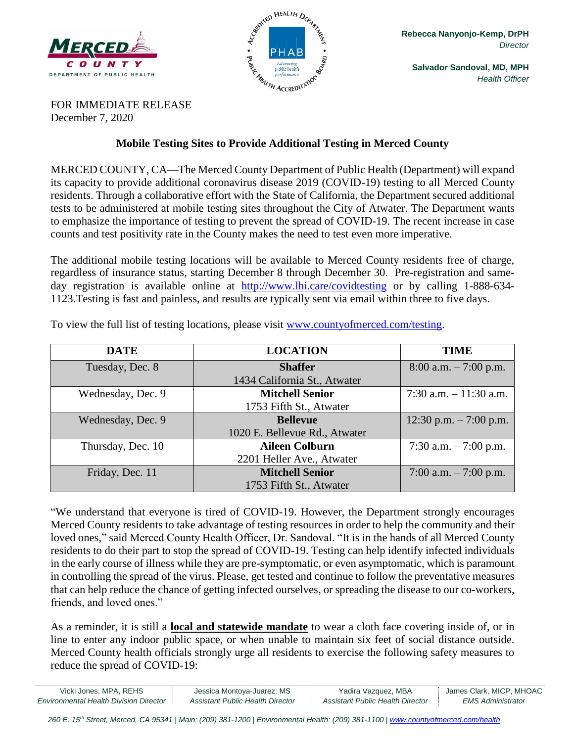



**Salvador Sandoval, MD, MPH** *Health Officer*

FOR IMMEDIATE RELEASE December 7, 2020

## **Mobile Testing Sites to Provide Additional Testing in Merced County**

MERCED COUNTY, CA—The Merced County Department of Public Health (Department) will expand its capacity to provide additional coronavirus disease 2019 (COVID-19) testing to all Merced County residents. Through a collaborative effort with the State of California, the Department secured additional tests to be administered at mobile testing sites throughout the City of Atwater. The Department wants to emphasize the importance of testing to prevent the spread of COVID-19. The recent increase in case counts and test positivity rate in the County makes the need to test even more imperative.

The additional mobile testing locations will be available to Merced County residents free of charge, regardless of insurance status, starting December 8 through December 30. Pre-registration and sameday registration is available online at <http://www.lhi.care/covidtesting> or by calling 1-888-634- 1123.Testing is fast and painless, and results are typically sent via email within three to five days.

| <b>DATE</b>       | <b>LOCATION</b>               | <b>TIME</b>              |
|-------------------|-------------------------------|--------------------------|
| Tuesday, Dec. 8   | <b>Shaffer</b>                | $8:00$ a.m. $-7:00$ p.m. |
|                   | 1434 California St., Atwater  |                          |
| Wednesday, Dec. 9 | <b>Mitchell Senior</b>        | 7:30 a.m. $-11:30$ a.m.  |
|                   | 1753 Fifth St., Atwater       |                          |
| Wednesday, Dec. 9 | <b>Bellevue</b>               | 12:30 p.m. $-7:00$ p.m.  |
|                   | 1020 E. Bellevue Rd., Atwater |                          |
| Thursday, Dec. 10 | <b>Aileen Colburn</b>         | 7:30 a.m. $-7:00$ p.m.   |
|                   | 2201 Heller Ave., Atwater     |                          |
| Friday, Dec. 11   | <b>Mitchell Senior</b>        | 7:00 a.m. $-7:00$ p.m.   |
|                   | 1753 Fifth St., Atwater       |                          |

To view the full list of testing locations, please visit [www.countyofmerced.com/testing.](file:///C:/Users/he443/AppData/Local/Microsoft/Windows/Temporary%20Internet%20Files/Content.Outlook/9QII5J4N/wwww.countyofmerced.com/coronavirus)

"We understand that everyone is tired of COVID-19. However, the Department strongly encourages Merced County residents to take advantage of testing resources in order to help the community and their loved ones," said Merced County Health Officer, Dr. Sandoval. "It is in the hands of all Merced County residents to do their part to stop the spread of COVID-19. Testing can help identify infected individuals in the early course of illness while they are pre-symptomatic, or even asymptomatic, which is paramount in controlling the spread of the virus. Please, get tested and continue to follow the preventative measures that can help reduce the chance of getting infected ourselves, or spreading the disease to our co-workers, friends, and loved ones."

As a reminder, it is still a **local and statewide mandate** to wear a cloth face covering inside of, or in line to enter any indoor public space, or when unable to maintain six feet of social distance outside. Merced County health officials strongly urge all residents to exercise the following safety measures to reduce the spread of COVID-19:

| Vicki Jones, MPA, REHS                        | Jessica Montoya-Juarez, MS       | Yadira Vazquez, MBA              | James Clark, MICP, MHOAC |
|-----------------------------------------------|----------------------------------|----------------------------------|--------------------------|
| <b>Environmental Health Division Director</b> | Assistant Public Health Director | Assistant Public Health Director | EMS Administrator        |